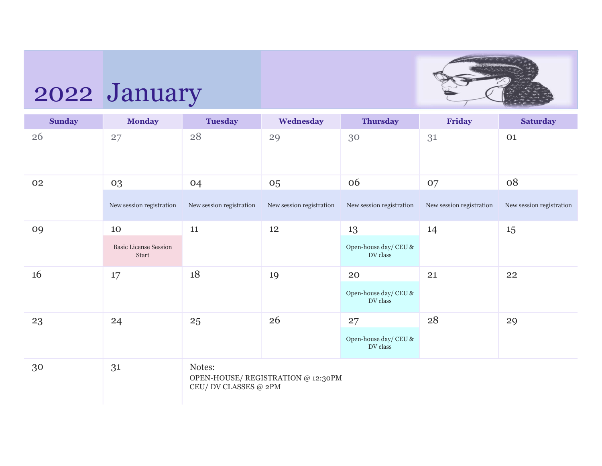

# 2022 January

| <b>Sunday</b> | <b>Monday</b>                         | <b>Tuesday</b>                  | Wednesday                         | <b>Thursday</b>                                    | Friday                   | <b>Saturday</b>          |
|---------------|---------------------------------------|---------------------------------|-----------------------------------|----------------------------------------------------|--------------------------|--------------------------|
| 26            | 27                                    | 28                              | 29                                | 30                                                 | 31                       | 01                       |
| 02            | 03                                    | 04                              | 05                                | 06                                                 | 07                       | 08                       |
|               | New session registration              | New session registration        | New session registration          | New session registration                           | New session registration | New session registration |
| 09            | 10                                    | 11                              | 12                                | 13                                                 | 14                       | 15                       |
|               | <b>Basic License Session</b><br>Start |                                 |                                   | Open-house day/ CEU &<br>DV class                  |                          |                          |
| 16            | 17                                    | 18                              | 19                                | 20                                                 | 21                       | 22                       |
|               |                                       |                                 |                                   | Open-house day/ $\operatorname{CEU}$ &<br>DV class |                          |                          |
| 23            | 24                                    | 25                              | 26                                | 27                                                 | 28                       | 29                       |
|               |                                       |                                 |                                   | Open-house day/ $\mbox{CEU}$ &<br>DV class         |                          |                          |
| 30            | 31                                    | Notes:<br>CEU/ DV CLASSES @ 2PM | OPEN-HOUSE/REGISTRATION @ 12:30PM |                                                    |                          |                          |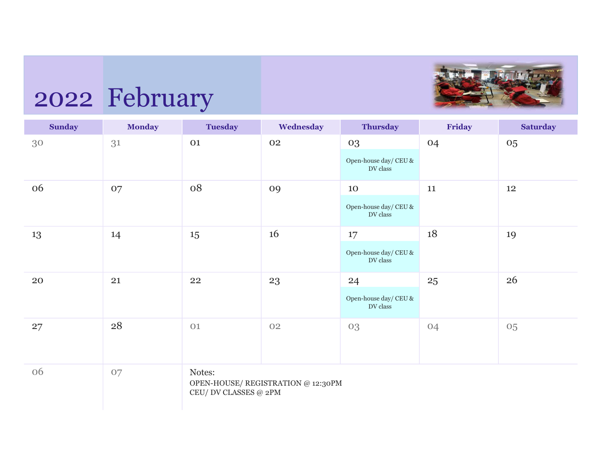

## 2022 February

| <b>Sunday</b> | <b>Monday</b> | <b>Tuesday</b>                  | Wednesday                          | <b>Thursday</b>                                                   | Friday | <b>Saturday</b> |
|---------------|---------------|---------------------------------|------------------------------------|-------------------------------------------------------------------|--------|-----------------|
| 30            | 31            | 01                              | 02                                 | 03<br>Open-house day/ CEU &<br>DV class                           | 04     | 05              |
| 06            | 07            | 08                              | 09                                 | 10<br>Open-house day/ $\mbox{CEU}$ &<br>$\operatorname{DV}$ class | 11     | 12              |
| 13            | 14            | 15                              | 16                                 | 17<br>Open-house day/ CEU &<br>$\operatorname{DV}$ class          | 18     | 19              |
| 20            | 21            | 22                              | 23                                 | 24<br>Open-house day/ $\operatorname{CEU}$ &<br>DV class          | 25     | 26              |
| 27            | 28            | 01                              | 02                                 | 03                                                                | 04     | 05              |
| 06            | 07            | Notes:<br>CEU/ DV CLASSES @ 2PM | OPEN-HOUSE/ REGISTRATION @ 12:30PM |                                                                   |        |                 |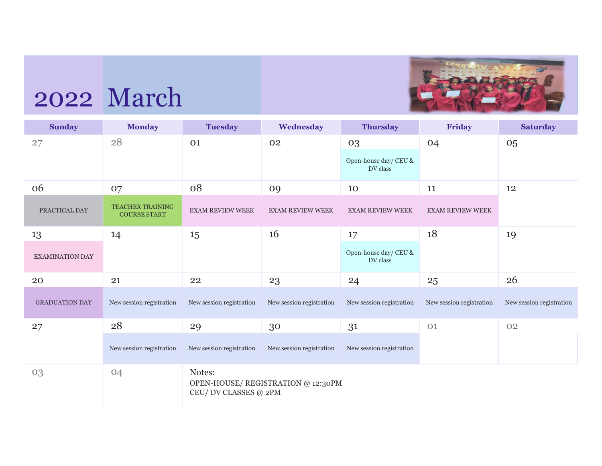

## 2022 March

| <b>Sunday</b>          | <b>Monday</b>                                  | <b>Tuesday</b>                  | Wednesday                          | <b>Thursday</b>                         | Friday                   | <b>Saturday</b>          |
|------------------------|------------------------------------------------|---------------------------------|------------------------------------|-----------------------------------------|--------------------------|--------------------------|
| 27                     | 28                                             | 01                              | 02                                 | 03<br>Open-house day/ CEU &<br>DV class | 04                       | 05                       |
| 06                     | 07                                             | 08                              | 09                                 | 10                                      | 11                       | 12                       |
| PRACTICAL DAY          | <b>TEACHER TRAINING</b><br><b>COURSE START</b> | <b>EXAM REVIEW WEEK</b>         | <b>EXAM REVIEW WEEK</b>            | <b>EXAM REVIEW WEEK</b>                 | <b>EXAM REVIEW WEEK</b>  |                          |
| 13                     | 14                                             | 15                              | 16                                 | 17                                      | 18                       | 19                       |
| <b>EXAMINATION DAY</b> |                                                |                                 |                                    | Open-house day/ CEU &<br>DV class       |                          |                          |
| 20                     | 21                                             | 22                              | 23                                 | 24                                      | 25                       | 26                       |
| <b>GRADUATION DAY</b>  | New session registration                       | New session registration        | New session registration           | New session registration                | New session registration | New session registration |
| 27                     | 28                                             | 29                              | 30                                 | 31                                      | 01                       | 02                       |
|                        | New session registration                       | New session registration        | New session registration           | New session registration                |                          |                          |
| 03                     | 04                                             | Notes:<br>CEU/ DV CLASSES @ 2PM | OPEN-HOUSE/ REGISTRATION @ 12:30PM |                                         |                          |                          |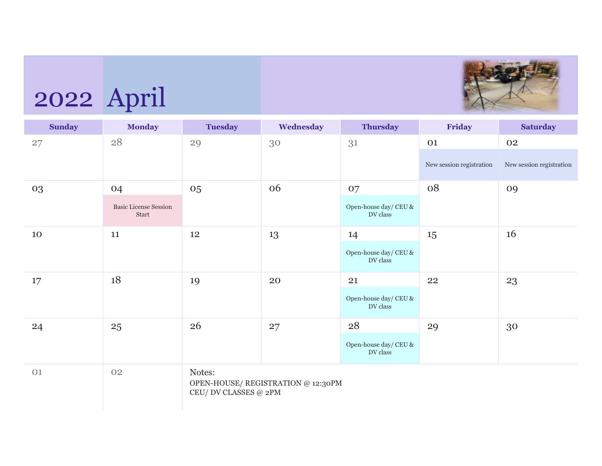

## 2022 April

| <b>Sunday</b> | <b>Monday</b>                         | <b>Tuesday</b>                  | Wednesday                          | <b>Thursday</b>                                             | Friday                   | <b>Saturday</b>          |
|---------------|---------------------------------------|---------------------------------|------------------------------------|-------------------------------------------------------------|--------------------------|--------------------------|
| 27            | 28                                    | 29                              | 30                                 | 31                                                          | 01                       | 02                       |
|               |                                       |                                 |                                    |                                                             | New session registration | New session registration |
| 03            | 04                                    | 05                              | 06                                 | 07                                                          | 08                       | 09                       |
|               | <b>Basic License Session</b><br>Start |                                 |                                    | Open-house day/ $\mbox{CEU}$ &<br>DV class                  |                          |                          |
| 10            | 11                                    | 12                              | 13                                 | 14                                                          | 15                       | 16                       |
|               |                                       |                                 |                                    | Open-house day/ CEU &<br>$\operatorname{DV}$ class          |                          |                          |
| 17            | 18                                    | 19                              | 20                                 | 21                                                          | 22                       | 23                       |
|               |                                       |                                 |                                    | Open-house day/ CEU &<br>$\operatorname{DV}$ class          |                          |                          |
| 24            | 25                                    | 26                              | 27                                 | 28                                                          | 29                       | 30                       |
|               |                                       |                                 |                                    | Open-house day/ $\mbox{CEU}$ &<br>$\operatorname{DV}$ class |                          |                          |
| 01            | 02                                    | Notes:<br>CEU/ DV CLASSES @ 2PM | OPEN-HOUSE/ REGISTRATION @ 12:30PM |                                                             |                          |                          |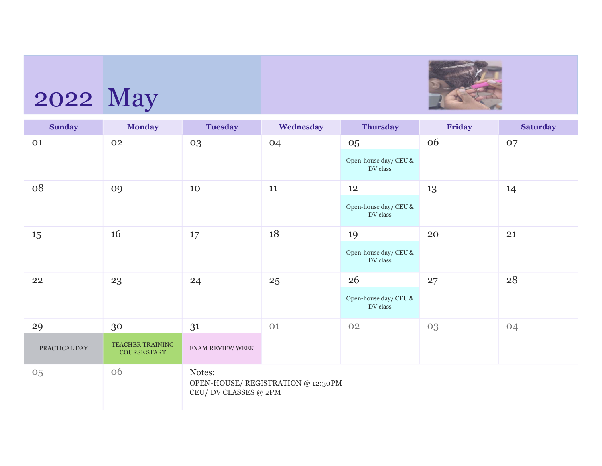

## 2022 May

| <b>Sunday</b>       | <b>Monday</b>                                        | <b>Tuesday</b>                  | Wednesday                          | <b>Thursday</b>                                          | Friday | <b>Saturday</b> |
|---------------------|------------------------------------------------------|---------------------------------|------------------------------------|----------------------------------------------------------|--------|-----------------|
| 01                  | 02                                                   | 03                              | 04                                 | 05<br>Open-house day/ $\mbox{CEU}$ &<br>DV class         | 06     | 07              |
| 08                  | 09                                                   | 10                              | 11                                 | 12<br>Open-house day/ CEU &<br>DV class                  | 13     | 14              |
| 15                  | 16                                                   | 17                              | 18                                 | 19<br>Open-house day/ $\mbox{CEU}$ &<br>DV class         | 20     | 21              |
| 22                  | 23                                                   | 24                              | 25                                 | 26<br>Open-house day/ CEU &<br>$\operatorname{DV}$ class | 27     | 28              |
| 29<br>PRACTICAL DAY | 30<br><b>TEACHER TRAINING</b><br><b>COURSE START</b> | 31<br><b>EXAM REVIEW WEEK</b>   | 01                                 | 02                                                       | 03     | 04              |
| 05                  | 06                                                   | Notes:<br>CEU/ DV CLASSES @ 2PM | OPEN-HOUSE/ REGISTRATION @ 12:30PM |                                                          |        |                 |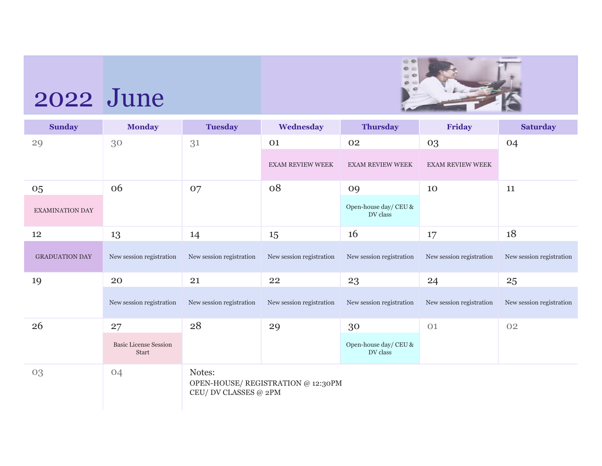

## 2022 June

| <b>Sunday</b>          | <b>Monday</b>                         | <b>Tuesday</b>                  | Wednesday                          | <b>Thursday</b>                   | Friday                   | <b>Saturday</b>          |
|------------------------|---------------------------------------|---------------------------------|------------------------------------|-----------------------------------|--------------------------|--------------------------|
| 29                     | 30                                    | 31                              | 01                                 | 02                                | 03                       | 04                       |
|                        |                                       |                                 | <b>EXAM REVIEW WEEK</b>            | <b>EXAM REVIEW WEEK</b>           | <b>EXAM REVIEW WEEK</b>  |                          |
| 05                     | 06                                    | 07                              | 08                                 | 09                                | 10                       | 11                       |
| <b>EXAMINATION DAY</b> |                                       |                                 |                                    | Open-house day/ CEU &<br>DV class |                          |                          |
| 12                     | 13                                    | 14                              | 15                                 | 16                                | 17                       | 18                       |
| <b>GRADUATION DAY</b>  | New session registration              | New session registration        | New session registration           | New session registration          | New session registration | New session registration |
| 19                     | 20                                    | 21                              | 22                                 | 23                                | 24                       | 25                       |
|                        | New session registration              | New session registration        | New session registration           | New session registration          | New session registration | New session registration |
| 26                     | 27                                    | 28                              | 29                                 | 30                                | 01                       | 02                       |
|                        | <b>Basic License Session</b><br>Start |                                 |                                    | Open-house day/ CEU &<br>DV class |                          |                          |
| 03                     | 04                                    | Notes:<br>CEU/ DV CLASSES @ 2PM | OPEN-HOUSE/ REGISTRATION @ 12:30PM |                                   |                          |                          |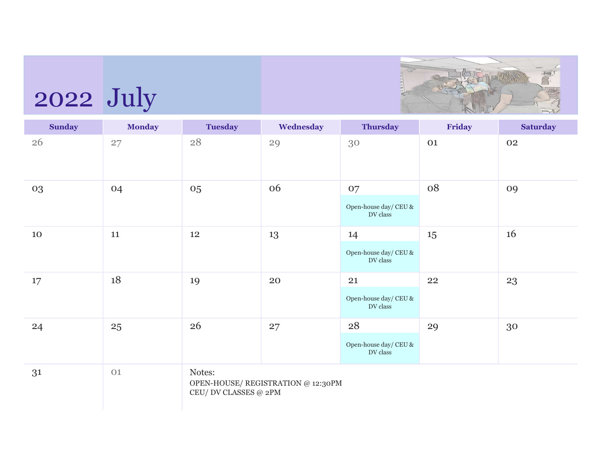

# 2022 July

| <b>Sunday</b> | <b>Monday</b> | <b>Tuesday</b>                  | Wednesday                          | <b>Thursday</b>                         | Friday | <b>Saturday</b> |
|---------------|---------------|---------------------------------|------------------------------------|-----------------------------------------|--------|-----------------|
| 26            | 27            | $28\,$                          | 29                                 | 30                                      | 01     | 02              |
| 03            | 04            | 05                              | 06                                 | 07<br>Open-house day/ CEU &<br>DV class | 08     | 09              |
| 10            | 11            | 12                              | 13                                 | 14<br>Open-house day/ CEU &<br>DV class | 15     | 16              |
| 17            | 18            | 19                              | 20                                 | 21<br>Open-house day/ CEU &<br>DV class | 22     | 23              |
| 24            | 25            | 26                              | 27                                 | 28<br>Open-house day/ CEU &<br>DV class | 29     | 30              |
| 31            | 01            | Notes:<br>CEU/ DV CLASSES @ 2PM | OPEN-HOUSE/ REGISTRATION @ 12:30PM |                                         |        |                 |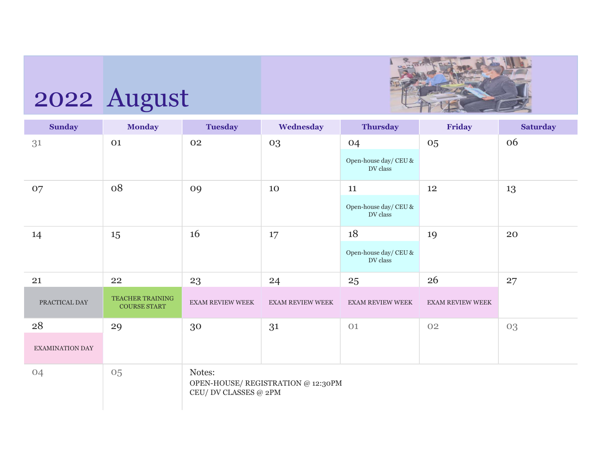

## 2022 August

| <b>Sunday</b>          | <b>Monday</b>                           | <b>Tuesday</b>                    | Wednesday                          | <b>Thursday</b>                         | Friday                  | <b>Saturday</b> |
|------------------------|-----------------------------------------|-----------------------------------|------------------------------------|-----------------------------------------|-------------------------|-----------------|
| 31                     | 01                                      | 02                                | 03                                 | 04<br>Open-house day/ CEU &<br>DV class | 05                      | 06              |
| 07                     | 08                                      | 09                                | 10                                 | 11<br>Open-house day/ CEU &<br>DV class | 12                      | 13              |
| 14                     | 15                                      | 16                                | 17                                 | 18<br>Open-house day/ CEU &<br>DV class | 19                      | 20              |
| 21                     | 22                                      | 23                                | 24                                 | 25                                      | 26                      | 27              |
| PRACTICAL DAY          | TEACHER TRAINING<br><b>COURSE START</b> | <b>EXAM REVIEW WEEK</b>           | <b>EXAM REVIEW WEEK</b>            | <b>EXAM REVIEW WEEK</b>                 | <b>EXAM REVIEW WEEK</b> |                 |
| 28                     | 29                                      | 30                                | 31                                 | 01                                      | 02                      | 03              |
| <b>EXAMINATION DAY</b> |                                         |                                   |                                    |                                         |                         |                 |
| 04                     | 05                                      | Notes:<br>CEU/ DV CLASSES $@$ 2PM | OPEN-HOUSE/ REGISTRATION @ 12:30PM |                                         |                         |                 |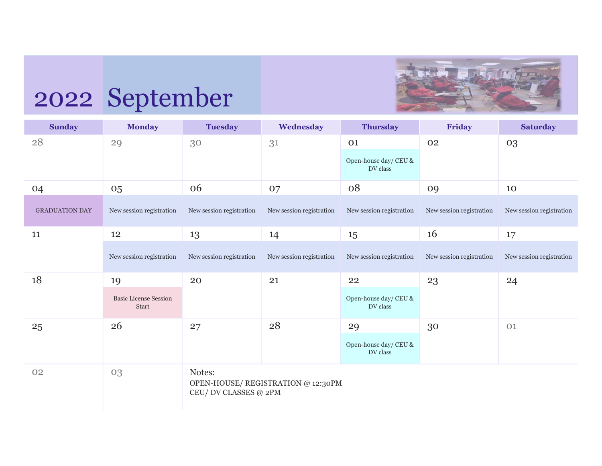

## 2022 September

| <b>Sunday</b>         | <b>Monday</b>                         | <b>Tuesday</b>                  | Wednesday                          | <b>Thursday</b>                   | Friday                   | <b>Saturday</b>          |
|-----------------------|---------------------------------------|---------------------------------|------------------------------------|-----------------------------------|--------------------------|--------------------------|
| 28                    | 29                                    | 30                              | 31                                 | 01                                | 02                       | 03                       |
|                       |                                       |                                 |                                    | Open-house day/ CEU &<br>DV class |                          |                          |
| 04                    | 05                                    | 06                              | 07                                 | 08                                | 09                       | 10                       |
| <b>GRADUATION DAY</b> | New session registration              | New session registration        | New session registration           | New session registration          | New session registration | New session registration |
| 11                    | 12                                    | 13                              | 14                                 | 15                                | 16                       | 17                       |
|                       | New session registration              | New session registration        | New session registration           | New session registration          | New session registration | New session registration |
| 18                    | 19                                    | 20                              | 21                                 | 22                                | 23                       | 24                       |
|                       | <b>Basic License Session</b><br>Start |                                 |                                    | Open-house day/ CEU &<br>DV class |                          |                          |
| 25                    | 26                                    | 27                              | 28                                 | 29                                | 30                       | 01                       |
|                       |                                       |                                 |                                    | Open-house day/ CEU &<br>DV class |                          |                          |
| 02                    | 03                                    | Notes:<br>CEU/ DV CLASSES @ 2PM | OPEN-HOUSE/ REGISTRATION @ 12:30PM |                                   |                          |                          |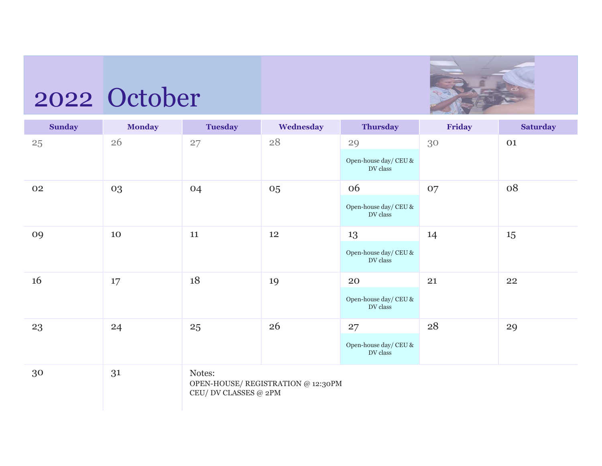## 2022 October



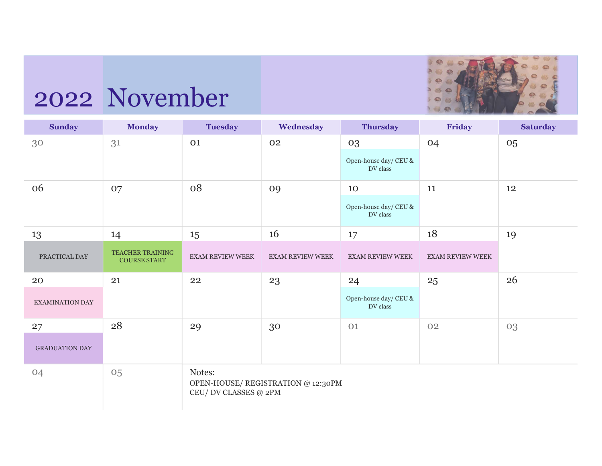

# 2022 November

| <b>Sunday</b>         | <b>Monday</b>                           | <b>Tuesday</b>                  | Wednesday                          | <b>Thursday</b>                                  | Friday                  | <b>Saturday</b> |
|-----------------------|-----------------------------------------|---------------------------------|------------------------------------|--------------------------------------------------|-------------------------|-----------------|
| 30                    | 31                                      | 01                              | 02                                 | 03<br>Open-house day/ CEU &<br>DV class          | 04                      | 05              |
| 06                    | 07                                      | 08                              | 09                                 | 10<br>Open-house day/ $\mbox{CEU}$ &<br>DV class | 11                      | 12              |
| 13                    | 14                                      | 15                              | 16                                 | 17                                               | 18                      | 19              |
| PRACTICAL DAY         | TEACHER TRAINING<br><b>COURSE START</b> | <b>EXAM REVIEW WEEK</b>         | <b>EXAM REVIEW WEEK</b>            | <b>EXAM REVIEW WEEK</b>                          | <b>EXAM REVIEW WEEK</b> |                 |
| 20                    | 21                                      | 22                              | 23                                 | 24                                               | 25                      | 26              |
| EXAMINATION DAY       |                                         |                                 |                                    | Open-house day/ $\mbox{CEU}$ &<br>DV class       |                         |                 |
| 27                    | 28                                      | 29                              | 30                                 | 01                                               | 02                      | 03              |
| <b>GRADUATION DAY</b> |                                         |                                 |                                    |                                                  |                         |                 |
| 04                    | 05                                      | Notes:<br>CEU/ DV CLASSES @ 2PM | OPEN-HOUSE/ REGISTRATION @ 12:30PM |                                                  |                         |                 |